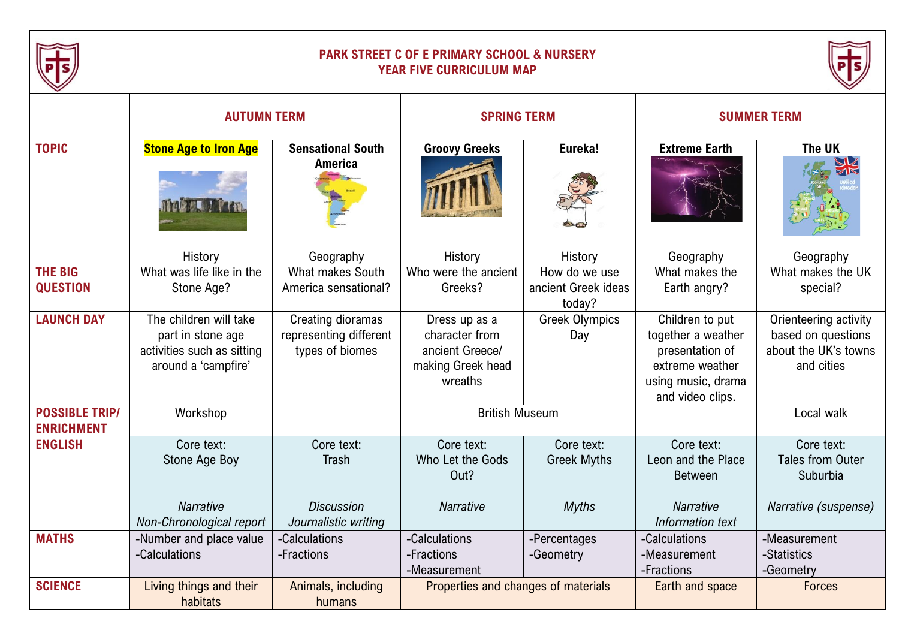

## **PARK STREET C OF E PRIMARY SCHOOL & NURSERY YEAR FIVE CURRICULUM MAP**



|                                            | <b>AUTUMN TERM</b>                                                                               |                                                                         | <b>SPRING TERM</b>                                                                 |                                                  | <b>SUMMER TERM</b>                                                                                                    |                                                                                   |
|--------------------------------------------|--------------------------------------------------------------------------------------------------|-------------------------------------------------------------------------|------------------------------------------------------------------------------------|--------------------------------------------------|-----------------------------------------------------------------------------------------------------------------------|-----------------------------------------------------------------------------------|
| <b>TOPIC</b>                               | <b>Stone Age to Iron Age</b><br><b>RAUL COL</b>                                                  | <b>Sensational South</b><br><b>America</b>                              | <b>Groovy Greeks</b>                                                               | Eureka!                                          | <b>Extreme Earth</b>                                                                                                  | The UK                                                                            |
|                                            | History                                                                                          | Geography                                                               | History                                                                            | History                                          | Geography                                                                                                             | Geography                                                                         |
| <b>THE BIG</b><br><b>QUESTION</b>          | What was life like in the<br>Stone Age?                                                          | What makes South<br>America sensational?                                | Who were the ancient<br>Greeks?                                                    | How do we use<br>ancient Greek ideas<br>today?   | What makes the<br>Earth angry?                                                                                        | What makes the UK<br>special?                                                     |
| <b>LAUNCH DAY</b>                          | The children will take<br>part in stone age<br>activities such as sitting<br>around a 'campfire' | Creating dioramas<br>representing different<br>types of biomes          | Dress up as a<br>character from<br>ancient Greece/<br>making Greek head<br>wreaths | <b>Greek Olympics</b><br>Day                     | Children to put<br>together a weather<br>presentation of<br>extreme weather<br>using music, drama<br>and video clips. | Orienteering activity<br>based on questions<br>about the UK's towns<br>and cities |
| <b>POSSIBLE TRIP/</b><br><b>ENRICHMENT</b> | Workshop                                                                                         |                                                                         | <b>British Museum</b>                                                              |                                                  |                                                                                                                       | Local walk                                                                        |
| <b>ENGLISH</b>                             | Core text:<br>Stone Age Boy<br><b>Narrative</b><br>Non-Chronological report                      | Core text:<br><b>Trash</b><br><b>Discussion</b><br>Journalistic writing | Core text:<br>Who Let the Gods<br>Out?<br><b>Narrative</b>                         | Core text:<br><b>Greek Myths</b><br><b>Myths</b> | Core text:<br>Leon and the Place<br><b>Between</b><br><b>Narrative</b><br>Information text                            | Core text:<br><b>Tales from Outer</b><br>Suburbia<br>Narrative (suspense)         |
| <b>MATHS</b>                               |                                                                                                  |                                                                         |                                                                                    |                                                  |                                                                                                                       |                                                                                   |
|                                            | -Number and place value<br>-Calculations                                                         | -Calculations<br>-Fractions                                             | -Calculations<br>-Fractions<br>-Measurement                                        | -Percentages<br>-Geometry                        | -Calculations<br>-Measurement<br>-Fractions                                                                           | -Measurement<br>-Statistics<br>-Geometry                                          |
| <b>SCIENCE</b>                             | Living things and their<br>habitats                                                              | Animals, including<br>humans                                            | Properties and changes of materials                                                |                                                  | Earth and space                                                                                                       | <b>Forces</b>                                                                     |